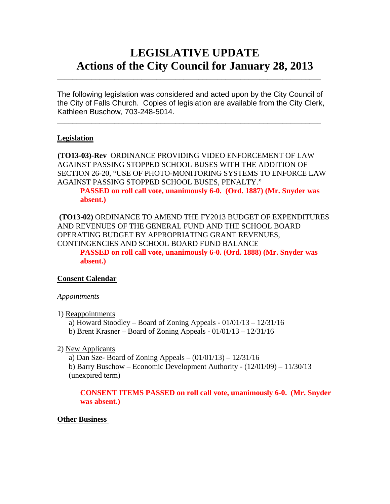# **LEGISLATIVE UPDATE Actions of the City Council for January 28, 2013**

The following legislation was considered and acted upon by the City Council of the City of Falls Church. Copies of legislation are available from the City Clerk, Kathleen Buschow, 703-248-5014.

 $\blacksquare$ 

 $\mathcal{L}_\text{max}$  and  $\mathcal{L}_\text{max}$  and  $\mathcal{L}_\text{max}$  and  $\mathcal{L}_\text{max}$  and  $\mathcal{L}_\text{max}$  and  $\mathcal{L}_\text{max}$ 

## **Legislation**

**(TO13-03)-Rev** ORDINANCE PROVIDING VIDEO ENFORCEMENT OF LAW AGAINST PASSING STOPPED SCHOOL BUSES WITH THE ADDITION OF SECTION 26-20, "USE OF PHOTO-MONITORING SYSTEMS TO ENFORCE LAW AGAINST PASSING STOPPED SCHOOL BUSES, PENALTY." **PASSED on roll call vote, unanimously 6-0. (Ord. 1887) (Mr. Snyder was absent.)** 

**(TO13-02)** ORDINANCE TO AMEND THE FY2013 BUDGET OF EXPENDITURES AND REVENUES OF THE GENERAL FUND AND THE SCHOOL BOARD OPERATING BUDGET BY APPROPRIATING GRANT REVENUES, CONTINGENCIES AND SCHOOL BOARD FUND BALANCE **PASSED on roll call vote, unanimously 6-0. (Ord. 1888) (Mr. Snyder was absent.)** 

## **Consent Calendar**

## *Appointments*

1) Reappointments

a) Howard Stoodley – Board of Zoning Appeals - 01/01/13 – 12/31/16

b) Brent Krasner – Board of Zoning Appeals -  $01/01/13 - 12/31/16$ 

## 2) New Applicants

a) Dan Sze- Board of Zoning Appeals – (01/01/13) – 12/31/16 b) Barry Buschow – Economic Development Authority - (12/01/09) – 11/30/13 (unexpired term)

**CONSENT ITEMS PASSED on roll call vote, unanimously 6-0. (Mr. Snyder was absent.)** 

## **Other Business**